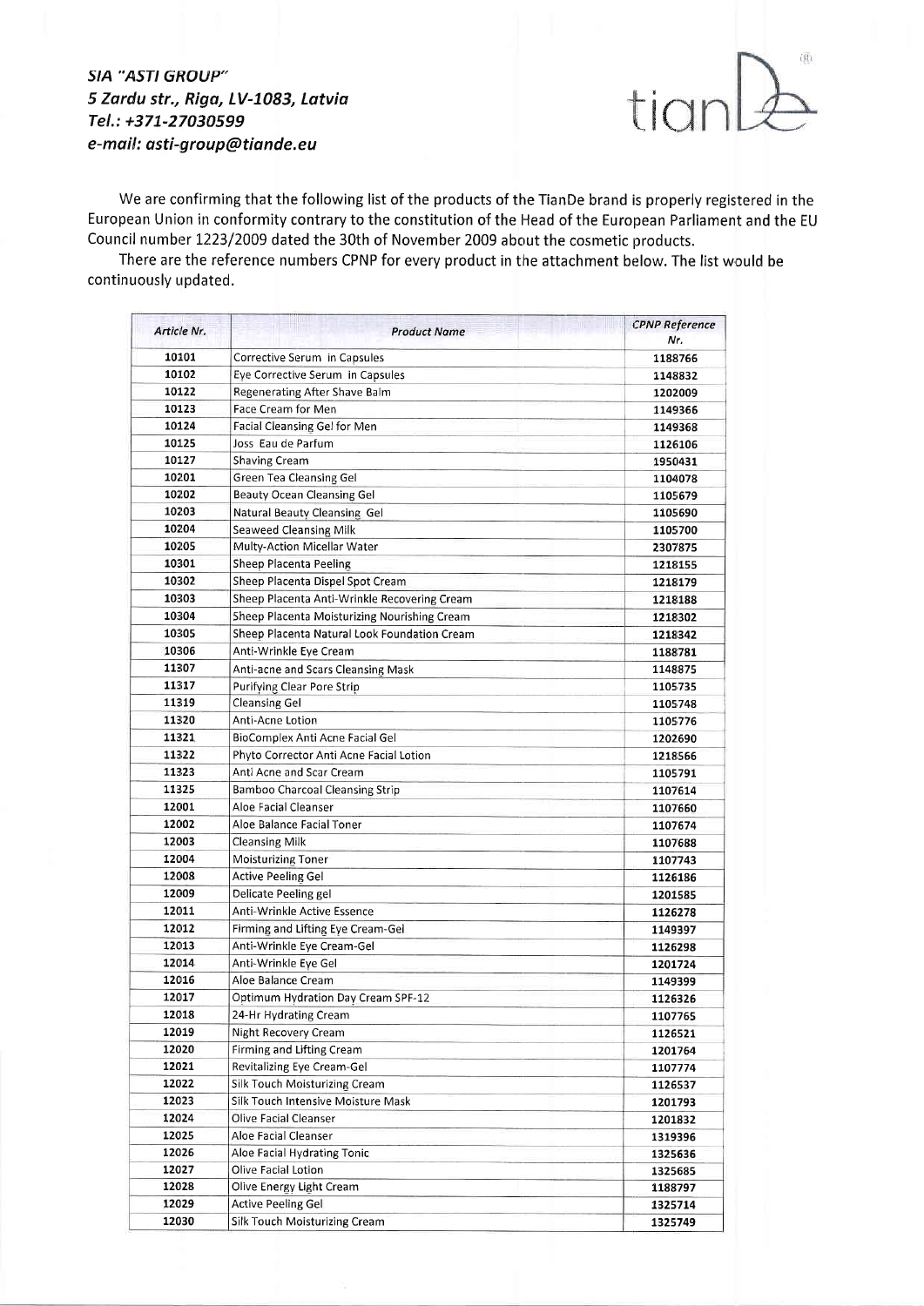## 5IA "A5TI GROUP" 5 Zordu str., Riga, LV-7083, Latvia Tel.: +371-27030599 e-mail: asti-group@tiande.eu



We are confirming that the following list of the products of the TianDe brand is properly registered in the European Union in conformity contrary to the constitution of the Head of the European Parliament and the EU Council number L223/2009 dated the 30th of November 2009 about the cosmetic products.

There are the reference numbers CPNP for every product in the attachment below. The list would be continuously updated.

| Article Nr. | <b>Product Name</b>                          | <b>CPNP Reference</b> |
|-------------|----------------------------------------------|-----------------------|
|             |                                              | Nr.                   |
| 10101       | Corrective Serum in Capsules                 | 1188766               |
| 10102       | Eye Corrective Serum in Capsules             | 1148832               |
| 10122       | Regenerating After Shave Balm                | 1202009               |
| 10123       | Face Cream for Men                           | 1149366               |
| 10124       | Facial Cleansing Gel for Men                 | 1149368               |
| 10125       | Joss Eau de Parfum                           | 1126106               |
| 10127       | <b>Shaving Cream</b>                         | 1950431               |
| 10201       | Green Tea Cleansing Gel                      | 1104078               |
| 10202       | <b>Beauty Ocean Cleansing Gel</b>            | 1105679               |
| 10203       | Natural Beauty Cleansing Gel                 | 1105690               |
| 10204       | <b>Seaweed Cleansing Milk</b>                | 1105700               |
| 10205       | Multy-Action Micellar Water                  | 2307875               |
| 10301       | Sheep Placenta Peeling                       | 1218155               |
| 10302       | Sheep Placenta Dispel Spot Cream             | 1218179               |
| 10303       | Sheep Placenta Anti-Wrinkle Recovering Cream | 1218188               |
| 10304       | Sheep Placenta Moisturizing Nourishing Cream | 1218302               |
| 10305       | Sheep Placenta Natural Look Foundation Cream | 1218342               |
| 10306       | Anti-Wrinkle Eye Cream                       | 1188781               |
| 11307       | Anti-acne and Scars Cleansing Mask           | 1148875               |
| 11317       | <b>Purifying Clear Pore Strip</b>            | 1105735               |
| 11319       | Cleansing Gel                                | 1105748               |
| 11320       | Anti-Acne Lotion                             | 1105776               |
| 11321       | BioComplex Anti Acne Facial Gel              | 1202690               |
| 11322       | Phyto Corrector Anti Acne Facial Lotion      | 1218566               |
| 11323       | Anti Acne and Scar Cream                     | 1105791               |
| 11325       | Bamboo Charcoal Cleansing Strip              | 1107614               |
| 12001       | Aloe Facial Cleanser                         | 1107660               |
| 12002       | Aloe Balance Facial Toner                    | 1107674               |
| 12003       | <b>Cleansing Milk</b>                        | 1107688               |
| 12004       | <b>Moisturizing Toner</b>                    | 1107743               |
| 12008       | <b>Active Peeling Gel</b>                    | 1126186               |
| 12009       | Delicate Peeling gel                         | 1201585               |
| 12011       | Anti-Wrinkle Active Essence                  | 1126278               |
| 12012       | Firming and Lifting Eye Cream-Gel            | 1149397               |
| 12013       | Anti-Wrinkle Eye Cream-Gel                   | 1126298               |
| 12014       | Anti-Wrinkle Eye Gel                         | 1201724               |
| 12016       | Aloe Balance Cream                           | 1149399               |
| 12017       | Optimum Hydration Day Cream SPF-12           | 1126326               |
| 12018       | 24-Hr Hydrating Cream                        |                       |
| 12019       | Night Recovery Cream                         | 1107765               |
| 12020       | <b>Firming and Lifting Cream</b>             | 1126521               |
| 12021       | Revitalizing Eye Cream-Gel                   | 1201764               |
| 12022       | Silk Touch Moisturizing Cream                | 1107774               |
| 12023       | Silk Touch Intensive Moisture Mask           | 1126537               |
|             | Olive Facial Cleanser                        | 1201793               |
| 12024       | Aloe Facial Cleanser                         | 1201832               |
| 12025       |                                              | 1319396               |
| 12026       | Aloe Facial Hydrating Tonic                  | 1325636               |
| 12027       | Olive Facial Lotion                          | 1325685               |
| 12028       | Olive Energy Light Cream                     | 1188797               |
| 12029       | <b>Active Peeling Gel</b>                    | 1325714               |
| 12030       | <b>Silk Touch Moisturizing Cream</b>         | 1325749               |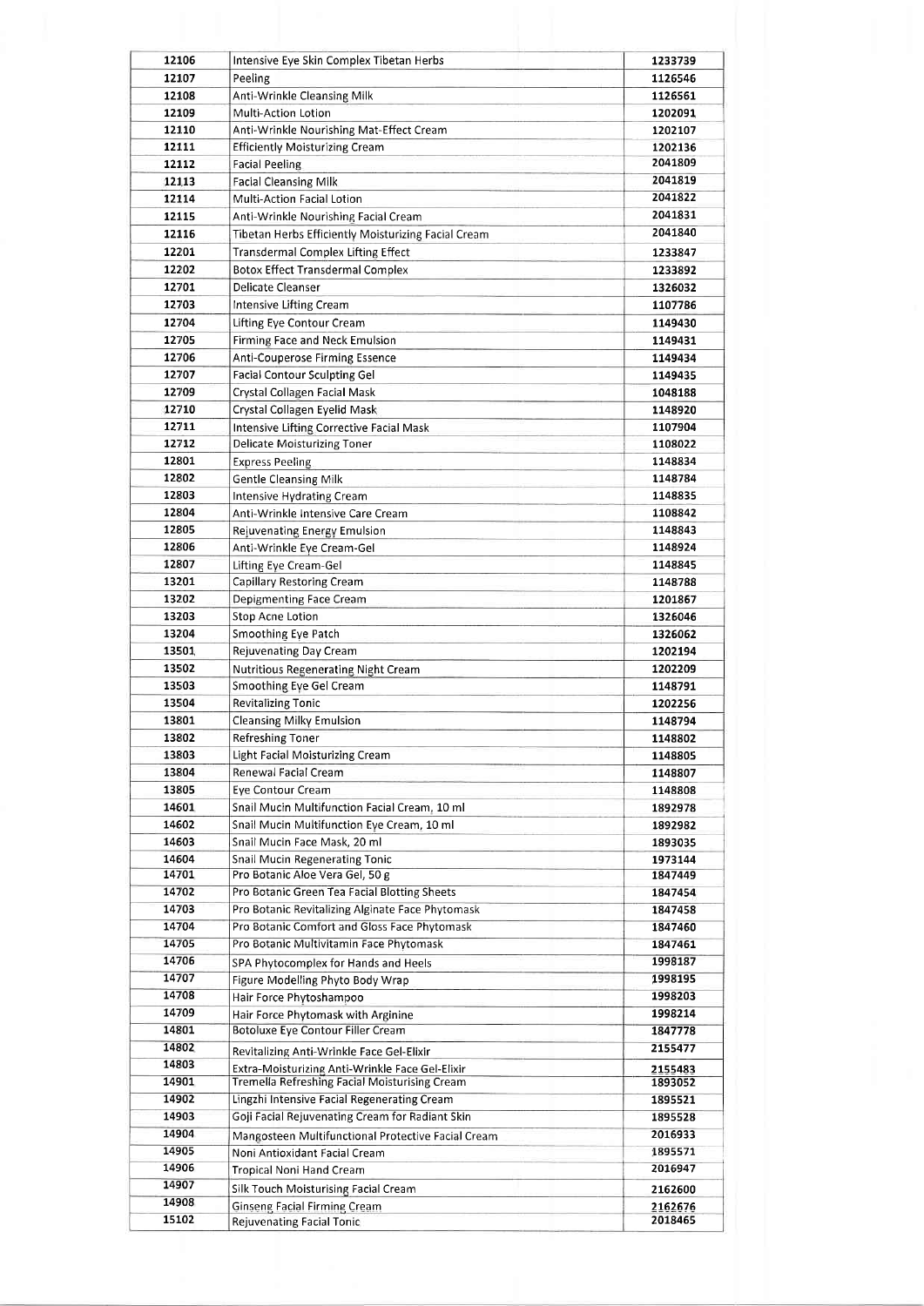| 12106 | Intensive Eye Skin Complex Tibetan Herbs             | 1233739 |
|-------|------------------------------------------------------|---------|
| 12107 | Peeling                                              | 1126546 |
| 12108 | Anti-Wrinkle Cleansing Milk                          | 1126561 |
| 12109 | Multi-Action Lotion                                  | 1202091 |
| 12110 | Anti-Wrinkle Nourishing Mat-Effect Cream             | 1202107 |
| 12111 | <b>Efficiently Moisturizing Cream</b>                | 1202136 |
| 12112 | <b>Facial Peeling</b>                                | 2041809 |
| 12113 | <b>Facial Cleansing Milk</b>                         | 2041819 |
| 12114 | Multi-Action Facial Lotion                           | 2041822 |
|       |                                                      |         |
| 12115 | Anti-Wrinkle Nourishing Facial Cream                 | 2041831 |
| 12116 | Tibetan Herbs Efficiently Moisturizing Facial Cream  | 2041840 |
| 12201 | <b>Transdermal Complex Lifting Effect</b>            | 1233847 |
| 12202 | <b>Botox Effect Transdermal Complex</b>              | 1233892 |
| 12701 | Delicate Cleanser                                    | 1326032 |
| 12703 | <b>Intensive Lifting Cream</b>                       | 1107786 |
|       |                                                      |         |
| 12704 | Lifting Eye Contour Cream                            | 1149430 |
| 12705 | Firming Face and Neck Emulsion                       | 1149431 |
| 12706 | Anti-Couperose Firming Essence                       | 1149434 |
| 12707 | <b>Facial Contour Sculpting Gel</b>                  | 1149435 |
| 12709 | Crystal Collagen Facial Mask                         | 1048188 |
| 12710 | Crystal Collagen Eyelid Mask                         | 1148920 |
| 12711 | <b>Intensive Lifting Corrective Facial Mask</b>      | 1107904 |
| 12712 |                                                      | 1108022 |
|       | <b>Delicate Moisturizing Toner</b>                   |         |
| 12801 | <b>Express Peeling</b>                               | 1148834 |
| 12802 | <b>Gentle Cleansing Milk</b>                         | 1148784 |
| 12803 | <b>Intensive Hydrating Cream</b>                     | 1148835 |
| 12804 | Anti-Wrinkle Intensive Care Cream                    | 1108842 |
| 12805 | Rejuvenating Energy Emulsion                         | 1148843 |
| 12806 | Anti-Wrinkle Eye Cream-Gel                           | 1148924 |
| 12807 | Lifting Eye Cream-Gel                                | 1148845 |
| 13201 |                                                      |         |
|       | Capillary Restoring Cream                            | 1148788 |
| 13202 | Depigmenting Face Cream                              | 1201867 |
| 13203 | Stop Acne Lotion                                     | 1326046 |
| 13204 | <b>Smoothing Eye Patch</b>                           | 1326062 |
| 13501 | Rejuvenating Day Cream                               | 1202194 |
| 13502 | <b>Nutritious Regenerating Night Cream</b>           | 1202209 |
| 13503 | Smoothing Eye Gel Cream                              | 1148791 |
| 13504 | <b>Revitalizing Tonic</b>                            | 1202256 |
| 13801 | <b>Cleansing Milky Emulsion</b>                      | 1148794 |
|       |                                                      |         |
| 13802 | Refreshing Toner                                     | 1148802 |
| 13803 | Light Facial Moisturizing Cream                      | 1148805 |
| 13804 | Renewal Facial Cream                                 | 1148807 |
| 13805 | <b>Eve Contour Cream</b>                             | 1148808 |
| 14601 | Snail Mucin Multifunction Facial Cream, 10 ml        | 1892978 |
| 14602 | Snail Mucin Multifunction Eye Cream, 10 ml           | 1892982 |
| 14603 | Snail Mucin Face Mask, 20 ml                         | 1893035 |
|       |                                                      |         |
| 14604 | Snail Mucin Regenerating Tonic                       | 1973144 |
| 14701 | Pro Botanic Aloe Vera Gel, 50 g                      | 1847449 |
| 14702 | Pro Botanic Green Tea Facial Blotting Sheets         | 1847454 |
| 14703 | Pro Botanic Revitalizing Alginate Face Phytomask     | 1847458 |
| 14704 | Pro Botanic Comfort and Gloss Face Phytomask         | 1847460 |
| 14705 | Pro Botanic Multivitamin Face Phytomask              | 1847461 |
| 14706 | SPA Phytocomplex for Hands and Heels                 | 1998187 |
| 14707 | Figure Modelling Phyto Body Wrap                     | 1998195 |
| 14708 |                                                      |         |
|       | Hair Force Phytoshampoo                              | 1998203 |
| 14709 | Hair Force Phytomask with Arginine                   | 1998214 |
| 14801 | <b>Botoluxe Eye Contour Filler Cream</b>             | 1847778 |
| 14802 | Revitalizing Anti-Wrinkle Face Gel-Elixir            | 2155477 |
| 14803 | Extra-Moisturizing Anti-Wrinkle Face Gel-Elixir      | 2155483 |
| 14901 | <b>Tremella Refreshing Facial Moisturising Cream</b> | 1893052 |
| 14902 | Lingzhi Intensive Facial Regenerating Cream          | 1895521 |
| 14903 | Goji Facial Rejuvenating Cream for Radiant Skin      | 1895528 |
|       |                                                      |         |
| 14904 | Mangosteen Multifunctional Protective Facial Cream   | 2016933 |
| 14905 | Noni Antioxidant Facial Cream                        | 1895571 |
| 14906 | Tropical Noni Hand Cream                             | 2016947 |
| 14907 | <b>Silk Touch Moisturising Facial Cream</b>          | 2162600 |
| 14908 | <b>Ginseng Facial Firming Cream</b>                  | 2162676 |
| 15102 | <b>Rejuvenating Facial Tonic</b>                     | 2018465 |
|       |                                                      |         |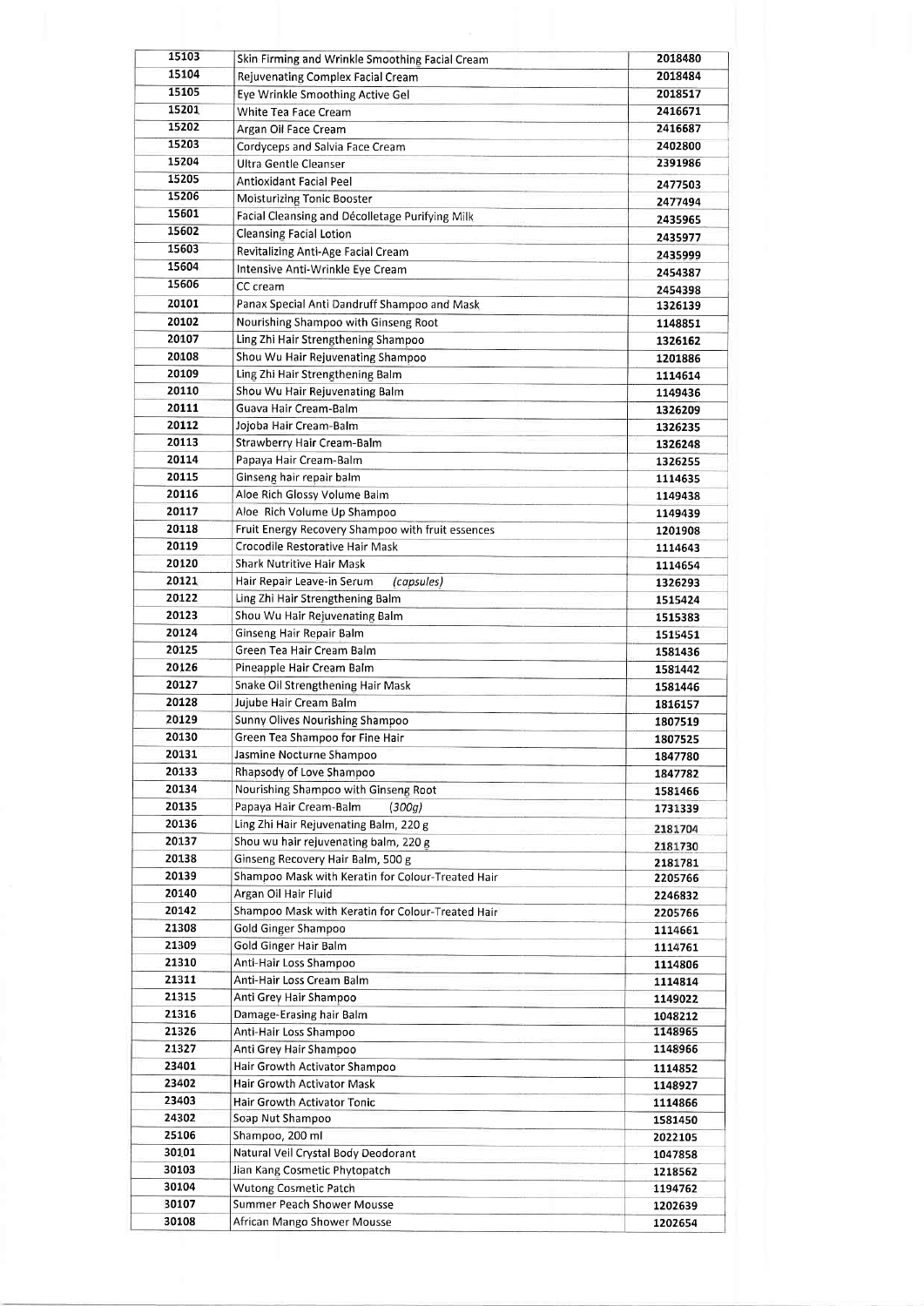| 15103 | Skin Firming and Wrinkle Smoothing Facial Cream            | 2018480            |
|-------|------------------------------------------------------------|--------------------|
| 15104 | Rejuvenating Complex Facial Cream                          | 2018484            |
| 15105 | Eye Wrinkle Smoothing Active Gel                           | 2018517            |
| 15201 | White Tea Face Cream                                       | 2416671            |
| 15202 | Argan Oil Face Cream                                       | 2416687            |
| 15203 | Cordyceps and Salvia Face Cream                            | 2402800            |
| 15204 | Ultra Gentle Cleanser                                      | 2391986            |
| 15205 | Antioxidant Facial Peel                                    | 2477503            |
| 15206 | Moisturizing Tonic Booster                                 | 2477494            |
| 15601 | Facial Cleansing and Décolletage Purifying Milk            | 2435965            |
| 15602 | <b>Cleansing Facial Lotion</b>                             | 2435977            |
| 15603 | Revitalizing Anti-Age Facial Cream                         | 2435999            |
| 15604 | Intensive Anti-Wrinkle Eye Cream                           | 2454387            |
| 15606 | CC cream                                                   | 2454398            |
| 20101 | Panax Special Anti Dandruff Shampoo and Mask               | 1326139            |
| 20102 | Nourishing Shampoo with Ginseng Root                       | 1148851            |
| 20107 | Ling Zhi Hair Strengthening Shampoo                        | 1326162            |
| 20108 | Shou Wu Hair Rejuvenating Shampoo                          | 1201886            |
| 20109 | Ling Zhi Hair Strengthening Balm                           | 1114614            |
| 20110 | Shou Wu Hair Rejuvenating Balm                             | 1149436            |
| 20111 | Guava Hair Cream-Balm                                      | 1326209            |
| 20112 | Jojoba Hair Cream-Balm                                     | 1326235            |
| 20113 | Strawberry Hair Cream-Balm                                 | 1326248            |
| 20114 | Papaya Hair Cream-Balm                                     | 1326255            |
| 20115 | Ginseng hair repair balm                                   | 1114635            |
| 20116 | Aloe Rich Glossy Volume Balm                               | 1149438            |
| 20117 | Aloe Rich Volume Up Shampoo                                | 1149439            |
| 20118 | Fruit Energy Recovery Shampoo with fruit essences          | 1201908            |
| 20119 | Crocodile Restorative Hair Mask                            | 1114643            |
| 20120 | <b>Shark Nutritive Hair Mask</b>                           | 1114654            |
| 20121 | Hair Repair Leave-in Serum<br>(capsules)                   | 1326293            |
| 20122 | Ling Zhi Hair Strengthening Balm                           | 1515424            |
| 20123 | Shou Wu Hair Rejuvenating Balm                             | 1515383            |
| 20124 | Ginseng Hair Repair Balm                                   | 1515451            |
| 20125 | Green Tea Hair Cream Balm                                  | 1581436            |
| 20126 | Pineapple Hair Cream Balm                                  | 1581442            |
| 20127 | Snake Oil Strengthening Hair Mask                          | 1581446            |
| 20128 | Jujube Hair Cream Balm                                     | 1816157            |
| 20129 | Sunny Olives Nourishing Shampoo                            | 1807519            |
| 20130 | Green Tea Shampoo for Fine Hair                            | 1807525            |
| 20131 | Jasmine Nocturne Shampoo                                   | 1847780            |
| 20133 | Rhapsody of Love Shampoo                                   | 1847782            |
| 20134 | Nourishing Shampoo with Ginseng Root                       | 1581466            |
| 20135 | Papaya Hair Cream-Balm<br>(300q)                           | 1731339            |
| 20136 | Ling Zhi Hair Rejuvenating Balm, 220 g                     |                    |
| 20137 | Shou wu hair rejuvenating balm, 220 g                      | 2181704            |
| 20138 | Ginseng Recovery Hair Balm, 500 g                          | 2181730            |
| 20139 | Shampoo Mask with Keratin for Colour-Treated Hair          | 2181781<br>2205766 |
| 20140 | Argan Oil Hair Fluid                                       | 2246832            |
| 20142 | Shampoo Mask with Keratin for Colour-Treated Hair          | 2205766            |
| 21308 | <b>Gold Ginger Shampoo</b>                                 | 1114661            |
| 21309 | Gold Ginger Hair Balm                                      | 1114761            |
| 21310 | Anti-Hair Loss Shampoo                                     | 1114806            |
| 21311 | Anti-Hair Loss Cream Balm                                  | 1114814            |
| 21315 | Anti Grey Hair Shampoo                                     | 1149022            |
| 21316 | Damage-Erasing hair Balm                                   | 1048212            |
| 21326 | Anti-Hair Loss Shampoo                                     | 1148965            |
| 21327 | Anti Grey Hair Shampoo                                     | 1148966            |
| 23401 | Hair Growth Activator Shampoo                              | 1114852            |
| 23402 | Hair Growth Activator Mask                                 | 1148927            |
| 23403 | Hair Growth Activator Tonic                                | 1114866            |
| 24302 | Soap Nut Shampoo                                           |                    |
| 25106 | Shampoo, 200 ml                                            | 1581450            |
| 30101 | Natural Veil Crystal Body Deodorant                        | 2022105            |
| 30103 |                                                            | 1047858            |
| 30104 | Jian Kang Cosmetic Phytopatch                              | 1218562            |
| 30107 | Wutong Cosmetic Patch<br><b>Summer Peach Shower Mousse</b> | 1194762            |
| 30108 | African Mango Shower Mousse                                | 1202639            |
|       |                                                            | 1202654            |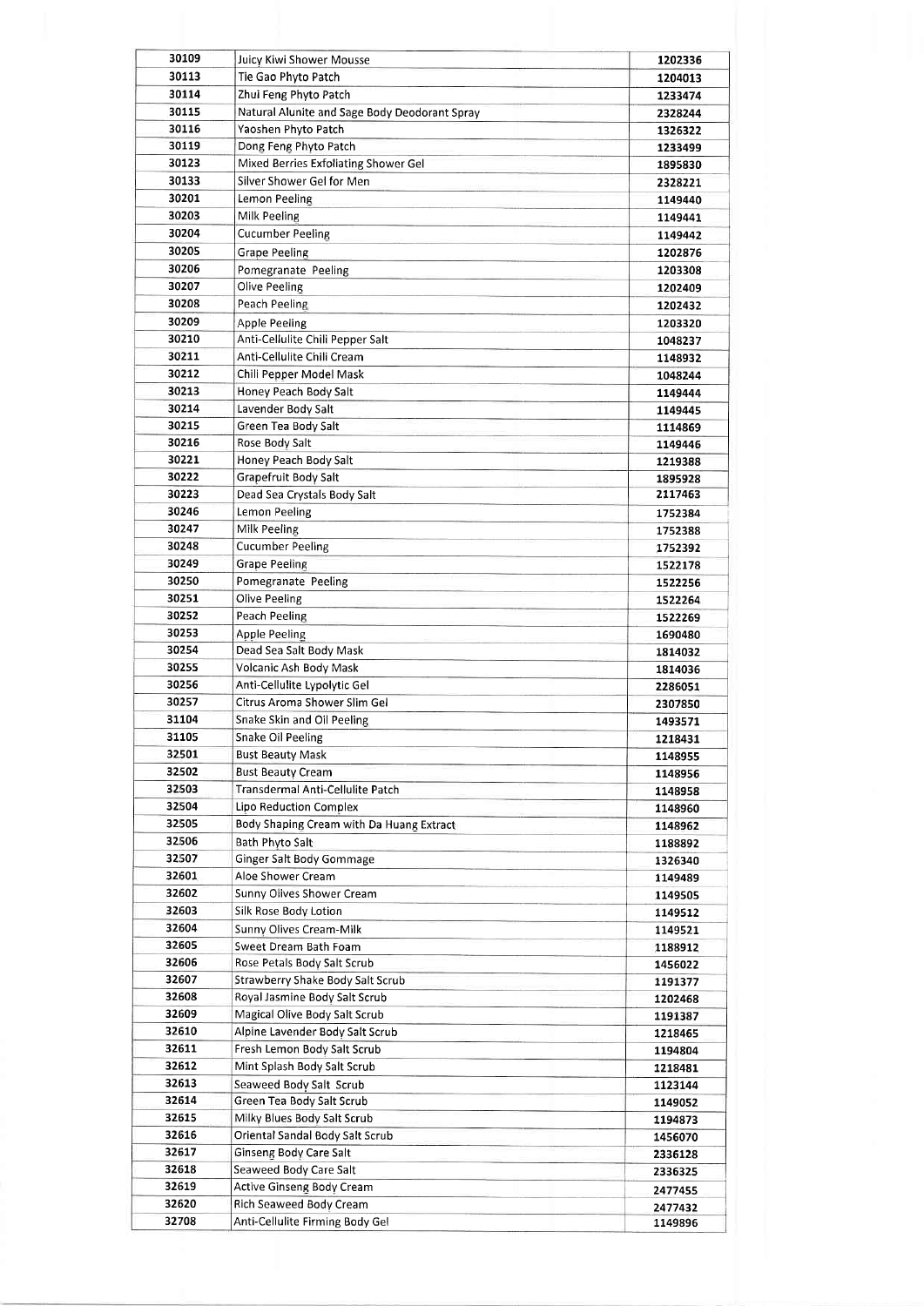| 30109 | Juicy Kiwi Shower Mousse                      | 1202336 |
|-------|-----------------------------------------------|---------|
| 30113 | Tie Gao Phyto Patch                           | 1204013 |
| 30114 | Zhui Feng Phyto Patch                         | 1233474 |
| 30115 | Natural Alunite and Sage Body Deodorant Spray | 2328244 |
| 30116 | Yaoshen Phyto Patch                           | 1326322 |
| 30119 | Dong Feng Phyto Patch                         | 1233499 |
| 30123 | Mixed Berries Exfoliating Shower Gel          | 1895830 |
| 30133 | Silver Shower Gel for Men                     | 2328221 |
| 30201 | Lemon Peeling                                 | 1149440 |
| 30203 | Milk Peeling                                  | 1149441 |
| 30204 | <b>Cucumber Peeling</b>                       | 1149442 |
| 30205 | <b>Grape Peeling</b>                          | 1202876 |
| 30206 | Pomegranate Peeling                           | 1203308 |
| 30207 | Olive Peeling                                 | 1202409 |
| 30208 | Peach Peeling                                 | 1202432 |
| 30209 | <b>Apple Peeling</b>                          |         |
| 30210 | Anti-Cellulite Chili Pepper Salt              | 1203320 |
| 30211 | Anti-Cellulite Chili Cream                    | 1048237 |
| 30212 | Chili Pepper Model Mask                       | 1148932 |
| 30213 |                                               | 1048244 |
| 30214 | Honey Peach Body Salt                         | 1149444 |
|       | Lavender Body Salt                            | 1149445 |
| 30215 | Green Tea Body Salt                           | 1114869 |
| 30216 | Rose Body Salt                                | 1149446 |
| 30221 | Honey Peach Body Salt                         | 1219388 |
| 30222 | Grapefruit Body Salt                          | 1895928 |
| 30223 | Dead Sea Crystals Body Salt                   | 2117463 |
| 30246 | Lemon Peeling                                 | 1752384 |
| 30247 | Milk Peeling                                  | 1752388 |
| 30248 | <b>Cucumber Peeling</b>                       | 1752392 |
| 30249 | <b>Grape Peeling</b>                          | 1522178 |
| 30250 | Pomegranate Peeling                           | 1522256 |
| 30251 | Olive Peeling                                 | 1522264 |
| 30252 | Peach Peeling                                 | 1522269 |
| 30253 | <b>Apple Peeling</b>                          | 1690480 |
| 30254 | Dead Sea Salt Body Mask                       | 1814032 |
| 30255 | Volcanic Ash Body Mask                        | 1814036 |
| 30256 | Anti-Cellulite Lypolytic Gel                  | 2286051 |
| 30257 | Citrus Aroma Shower Slim Gel                  | 2307850 |
| 31104 | Snake Skin and Oil Peeling                    | 1493571 |
| 31105 | Snake Oil Peeling                             | 1218431 |
| 32501 | <b>Bust Beauty Mask</b>                       | 1148955 |
| 32502 | <b>Bust Beauty Cream</b>                      | 1148956 |
| 32503 | Transdermal Anti-Cellulite Patch              | 1148958 |
| 32504 | Lipo Reduction Complex                        | 1148960 |
| 32505 | Body Shaping Cream with Da Huang Extract      | 1148962 |
| 32506 | Bath Phyto Salt                               | 1188892 |
| 32507 | Ginger Salt Body Gommage                      | 1326340 |
| 32601 | Aloe Shower Cream                             | 1149489 |
| 32602 | Sunny Olives Shower Cream                     | 1149505 |
| 32603 | Silk Rose Body Lotion                         | 1149512 |
| 32604 | Sunny Olives Cream-Milk                       | 1149521 |
| 32605 | Sweet Dream Bath Foam                         |         |
| 32606 | Rose Petals Body Salt Scrub                   | 1188912 |
| 32607 | Strawberry Shake Body Salt Scrub              | 1456022 |
| 32608 | Royal Jasmine Body Salt Scrub                 | 1191377 |
| 32609 | Magical Olive Body Salt Scrub                 | 1202468 |
| 32610 | Alpine Lavender Body Salt Scrub               | 1191387 |
| 32611 | Fresh Lemon Body Salt Scrub                   | 1218465 |
| 32612 |                                               | 1194804 |
|       | Mint Splash Body Salt Scrub                   | 1218481 |
| 32613 | Seaweed Body Salt Scrub                       | 1123144 |
| 32614 | Green Tea Body Salt Scrub                     | 1149052 |
| 32615 | Milky Blues Body Salt Scrub                   | 1194873 |
| 32616 | Oriental Sandal Body Salt Scrub               | 1456070 |
| 32617 | Ginseng Body Care Salt                        | 2336128 |
| 32618 | Seaweed Body Care Salt                        | 2336325 |
| 32619 | Active Ginseng Body Cream                     | 2477455 |
| 32620 | Rich Seaweed Body Cream                       | 2477432 |
| 32708 | Anti-Cellulite Firming Body Gel               | 1149896 |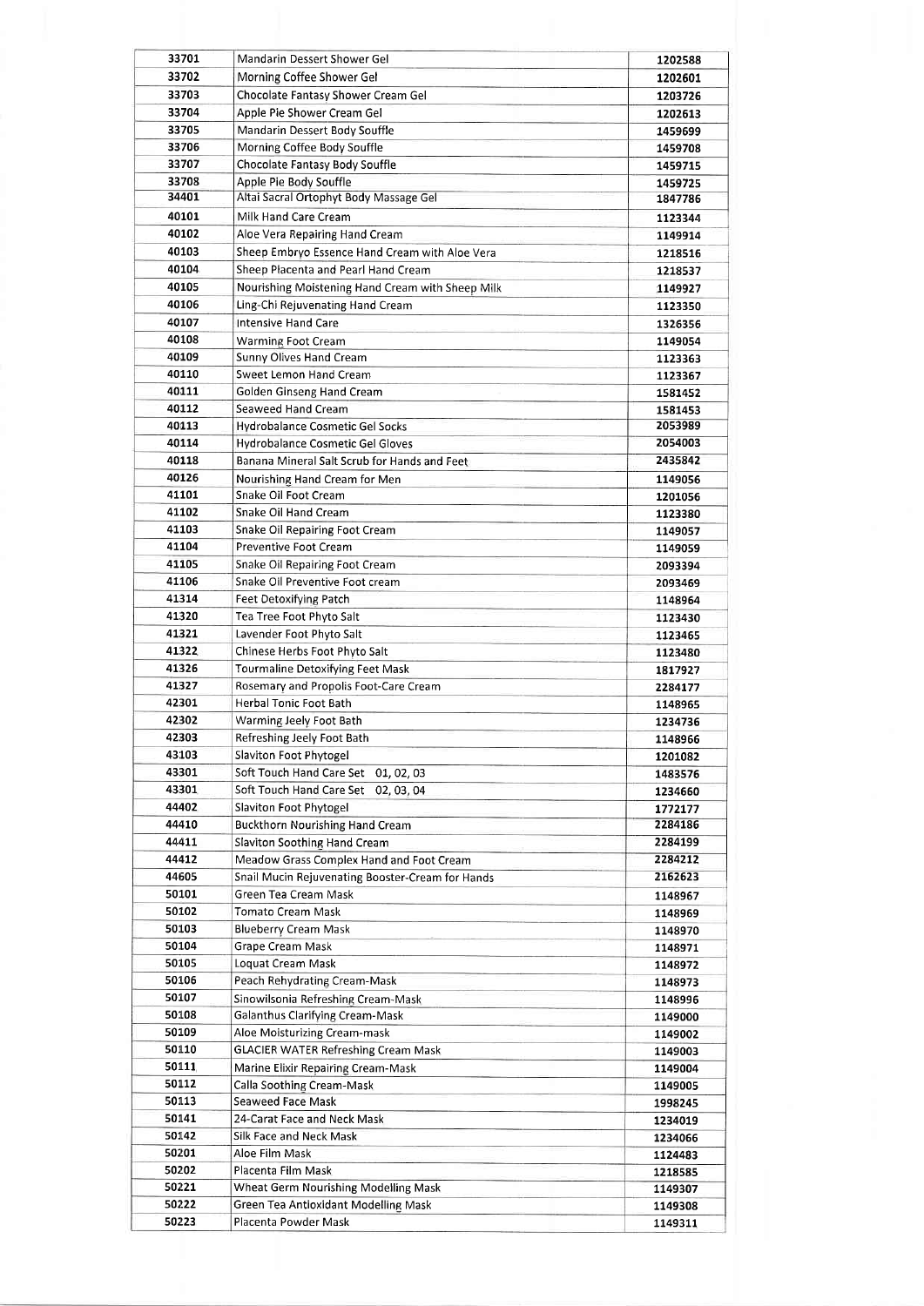| 33701          | Mandarin Dessert Shower Gel                              | 1202588            |
|----------------|----------------------------------------------------------|--------------------|
| 33702          | Morning Coffee Shower Gel                                | 1202601            |
| 33703          | Chocolate Fantasy Shower Cream Gel                       | 1203726            |
| 33704          | Apple Pie Shower Cream Gel                               | 1202613            |
| 33705          | Mandarin Dessert Body Souffle                            | 1459699            |
| 33706          | Morning Coffee Body Souffle                              | 1459708            |
| 33707          | Chocolate Fantasy Body Souffle                           | 1459715            |
| 33708          | Apple Pie Body Souffle                                   | 1459725            |
| 34401          | Altai Sacral Ortophyt Body Massage Gel                   | 1847786            |
| 40101          | Milk Hand Care Cream                                     | 1123344            |
| 40102          | Aloe Vera Repairing Hand Cream                           | 1149914            |
| 40103          | Sheep Embryo Essence Hand Cream with Aloe Vera           | 1218516            |
| 40104          | Sheep Placenta and Pearl Hand Cream                      | 1218537            |
| 40105          | Nourishing Moistening Hand Cream with Sheep Milk         | 1149927            |
| 40106          | Ling-Chi Rejuvenating Hand Cream                         | 1123350            |
| 40107<br>40108 | <b>Intensive Hand Care</b>                               | 1326356            |
|                | <b>Warming Foot Cream</b>                                | 1149054            |
| 40109<br>40110 | <b>Sunny Olives Hand Cream</b><br>Sweet Lemon Hand Cream | 1123363            |
| 40111          | Golden Ginseng Hand Cream                                | 1123367            |
| 40112          | Seaweed Hand Cream                                       | 1581452            |
| 40113          | Hydrobalance Cosmetic Gel Socks                          | 1581453<br>2053989 |
| 40114          | Hydrobalance Cosmetic Gel Gloves                         | 2054003            |
| 40118          | Banana Mineral Salt Scrub for Hands and Feet             | 2435842            |
| 40126          | Nourishing Hand Cream for Men                            | 1149056            |
| 41101          | Snake Oil Foot Cream                                     | 1201056            |
| 41102          | Snake Oil Hand Cream                                     | 1123380            |
| 41103          | Snake Oil Repairing Foot Cream                           | 1149057            |
| 41104          | <b>Preventive Foot Cream</b>                             | 1149059            |
| 41105          | Snake Oil Repairing Foot Cream                           | 2093394            |
| 41106          | Snake Oil Preventive Foot cream                          | 2093469            |
| 41314          | Feet Detoxifying Patch                                   | 1148964            |
| 41320          | Tea Tree Foot Phyto Salt                                 | 1123430            |
| 41321          | Lavender Foot Phyto Salt                                 | 1123465            |
| 41322          | Chinese Herbs Foot Phyto Salt                            | 1123480            |
| 41326          | <b>Tourmaline Detoxifying Feet Mask</b>                  | 1817927            |
| 41327          | Rosemary and Propolis Foot-Care Cream                    | 2284177            |
| 42301          | <b>Herbal Tonic Foot Bath</b>                            | 1148965            |
| 42302          | Warming Jeely Foot Bath                                  | 1234736            |
| 42303          | Refreshing Jeely Foot Bath                               | 1148966            |
| 43103          | Slaviton Foot Phytogel                                   | 1201082            |
| 43301          | Soft Touch Hand Care Set 01, 02, 03                      | 1483576            |
| 43301          | Soft Touch Hand Care Set 02, 03, 04                      | 1234660            |
| 44402          | Slaviton Foot Phytogel                                   | 1772177            |
| 44410          | <b>Buckthorn Nourishing Hand Cream</b>                   | 2284186            |
| 44411          | Slaviton Soothing Hand Cream                             | 2284199            |
| 44412          | Meadow Grass Complex Hand and Foot Cream                 | 2284212            |
| 44605          | Snail Mucin Rejuvenating Booster-Cream for Hands         | 2162623            |
| 50101          | Green Tea Cream Mask                                     | 1148967            |
| 50102          | <b>Tomato Cream Mask</b>                                 | 1148969            |
| 50103          | <b>Blueberry Cream Mask</b>                              | 1148970            |
| 50104          | Grape Cream Mask                                         | 1148971            |
| 50105<br>50106 | Loquat Cream Mask<br>Peach Rehydrating Cream-Mask        | 1148972            |
| 50107          | Sinowilsonia Refreshing Cream-Mask                       | 1148973            |
| 50108          | Galanthus Clarifying Cream-Mask                          | 1148996            |
| 50109          | Aloe Moisturizing Cream-mask                             | 1149000            |
| 50110          | <b>GLACIER WATER Refreshing Cream Mask</b>               | 1149002<br>1149003 |
| 50111          | Marine Elixir Repairing Cream-Mask                       | 1149004            |
| 50112          | Calla Soothing Cream-Mask                                | 1149005            |
| 50113          | Seaweed Face Mask                                        | 1998245            |
| 50141          | 24-Carat Face and Neck Mask                              | 1234019            |
| 50142          | Silk Face and Neck Mask                                  | 1234066            |
| 50201          | Aloe Film Mask                                           | 1124483            |
| 50202          | Placenta Film Mask                                       | 1218585            |
| 50221          | Wheat Germ Nourishing Modelling Mask                     | 1149307            |
| 50222          | Green Tea Antioxidant Modelling Mask                     | 1149308            |
| 50223          | Placenta Powder Mask                                     | 1149311            |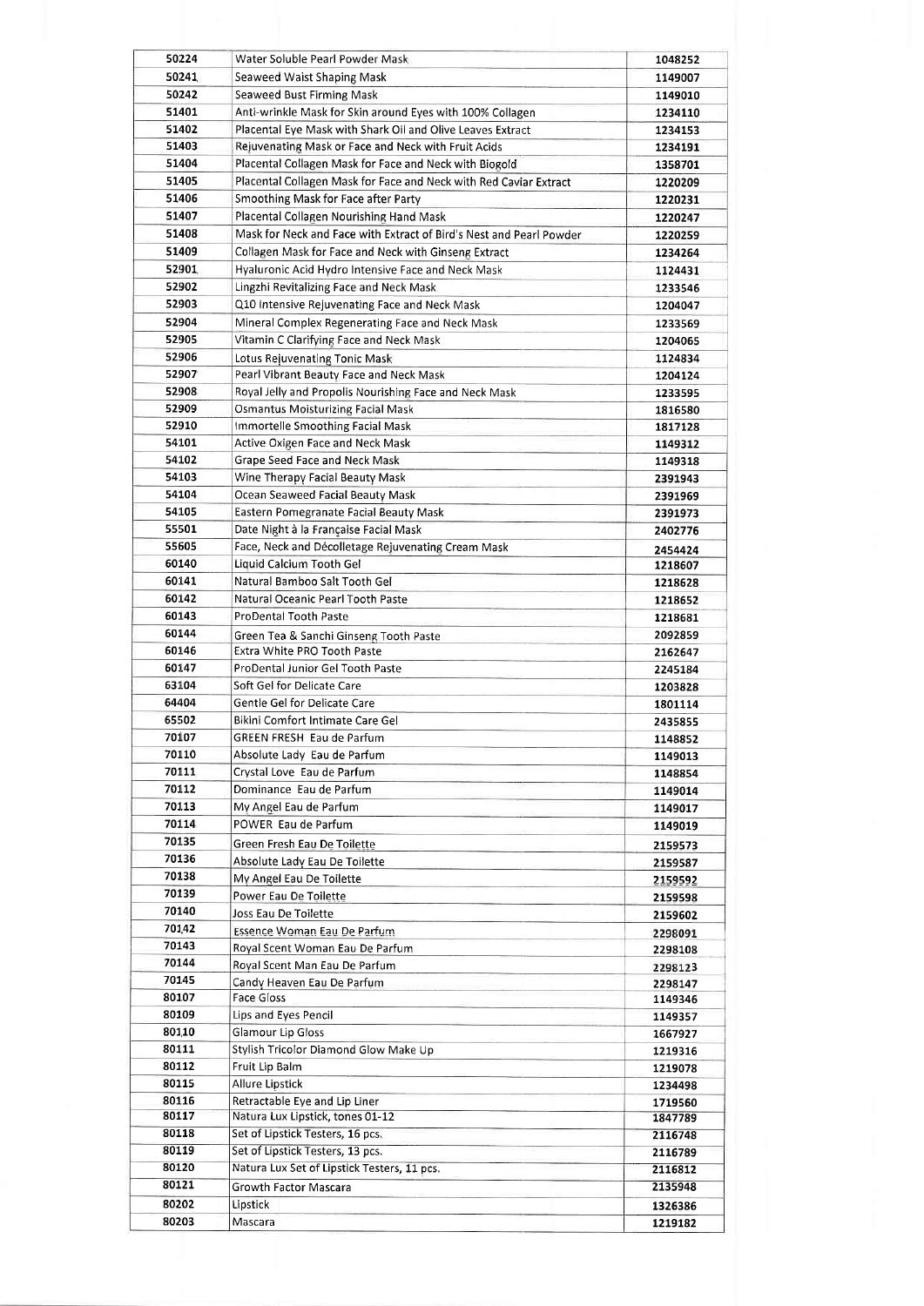| 50224          | Water Soluble Pearl Powder Mask                                       | 1048252            |
|----------------|-----------------------------------------------------------------------|--------------------|
| 50241          | Seaweed Waist Shaping Mask                                            | 1149007            |
| 50242          | Seaweed Bust Firming Mask                                             | 1149010            |
| 51401          | Anti-wrinkle Mask for Skin around Eyes with 100% Collagen             | 1234110            |
| 51402          | Placental Eye Mask with Shark Oil and Olive Leaves Extract            | 1234153            |
| 51403          | Rejuvenating Mask or Face and Neck with Fruit Acids                   | 1234191            |
| 51404          | Placental Collagen Mask for Face and Neck with Biogold                | 1358701            |
| 51405          | Placental Collagen Mask for Face and Neck with Red Caviar Extract     | 1220209            |
| 51406          | Smoothing Mask for Face after Party                                   | 1220231            |
| 51407          | Placental Collagen Nourishing Hand Mask                               | 1220247            |
| 51408          | Mask for Neck and Face with Extract of Bird's Nest and Pearl Powder   | 1220259            |
| 51409          | Collagen Mask for Face and Neck with Ginseng Extract                  | 1234264            |
| 52901          | Hyaluronic Acid Hydro Intensive Face and Neck Mask                    | 1124431            |
| 52902          | Lingzhi Revitalizing Face and Neck Mask                               | 1233546            |
| 52903          | Q10 Intensive Rejuvenating Face and Neck Mask                         | 1204047            |
| 52904          | Mineral Complex Regenerating Face and Neck Mask                       | 1233569            |
| 52905          | Vitamin C Clarifying Face and Neck Mask                               | 1204065            |
| 52906          | Lotus Rejuvenating Tonic Mask                                         | 1124834            |
| 52907          | Pearl Vibrant Beauty Face and Neck Mask                               | 1204124            |
| 52908          | Royal Jelly and Propolis Nourishing Face and Neck Mask                | 1233595            |
| 52909          | <b>Osmantus Moisturizing Facial Mask</b>                              | 1816580            |
| 52910          | Immortelle Smoothing Facial Mask                                      | 1817128            |
| 54101          | <b>Active Oxigen Face and Neck Mask</b>                               | 1149312            |
| 54102          | Grape Seed Face and Neck Mask                                         | 1149318            |
| 54103          | Wine Therapy Facial Beauty Mask                                       | 2391943            |
| 54104          | Ocean Seaweed Facial Beauty Mask                                      | 2391969            |
| 54105          | Eastern Pomegranate Facial Beauty Mask                                | 2391973            |
| 55501          | Date Night à la Française Facial Mask                                 | 2402776            |
| 55605          | Face, Neck and Décolletage Rejuvenating Cream Mask                    | 2454424            |
| 60140<br>60141 | Liquid Calcium Tooth Gel                                              | 1218607            |
| 60142          | Natural Bamboo Salt Tooth Gel<br>Natural Oceanic Pearl Tooth Paste    | 1218628            |
| 60143          | <b>ProDental Tooth Paste</b>                                          | 1218652            |
| 60144          |                                                                       | 1218681            |
| 60146          | Green Tea & Sanchi Ginseng Tooth Paste<br>Extra White PRO Tooth Paste | 2092859            |
| 60147          | ProDental Junior Gel Tooth Paste                                      | 2162647<br>2245184 |
| 63104          | Soft Gel for Delicate Care                                            | 1203828            |
| 64404          | Gentle Gel for Delicate Care                                          | 1801114            |
| 65502          | Bikini Comfort Intimate Care Gel                                      | 2435855            |
| 70107          | GREEN FRESH Eau de Parfum                                             | 1148852            |
| 70110          | Absolute Lady Eau de Parfum                                           | 1149013            |
| 70111          | Crystal Love Eau de Parfum                                            | 1148854            |
| 70112          | Dominance Eau de Parfum                                               | 1149014            |
| 70113          | My Angel Eau de Parfum                                                | 1149017            |
| 70114          | POWER Eau de Parfum                                                   | 1149019            |
| 70135          | Green Fresh Eau De Toilette                                           | 2159573            |
| 70136          | Absolute Lady Eau De Toilette                                         | 2159587            |
| 70138          | My Angel Eau De Toilette                                              | 2159592            |
| 70139          | Power Eau De Toilette                                                 | 2159598            |
| 70140          | Joss Eau De Toilette                                                  | 2159602            |
| 701,42         | Essence Woman Eau De Parfum                                           | 2298091            |
| 70143          | Royal Scent Woman Eau De Parfum                                       | 2298108            |
| 70144          | Royal Scent Man Eau De Parfum                                         | 2298123            |
| 70145          | Candy Heaven Eau De Parfum                                            | 2298147            |
| 80107          | Face Gloss                                                            | 1149346            |
| 80109          | Lips and Eyes Pencil                                                  | 1149357            |
| 80110          | Glamour Lip Gloss                                                     | 1667927            |
| 80111          | Stylish Tricolor Diamond Glow Make Up                                 | 1219316            |
| 80112          | Fruit Lip Balm                                                        | 1219078            |
| 80115          | <b>Allure Lipstick</b>                                                | 1234498            |
| 80116          | Retractable Eye and Lip Liner                                         | 1719560            |
| 80117          | Natura Lux Lipstick, tones 01-12                                      | 1847789            |
| 80118          | Set of Lipstick Testers, 16 pcs.                                      | 2116748            |
| 80119          | Set of Lipstick Testers, 13 pcs.                                      | 2116789            |
| 80120          | Natura Lux Set of Lipstick Testers, 11 pcs.                           | 2116812            |
| 80121          | Growth Factor Mascara                                                 | 2135948            |
| 80202          | Lipstick                                                              | 1326386            |
| 80203          | Mascara                                                               | 1219182            |